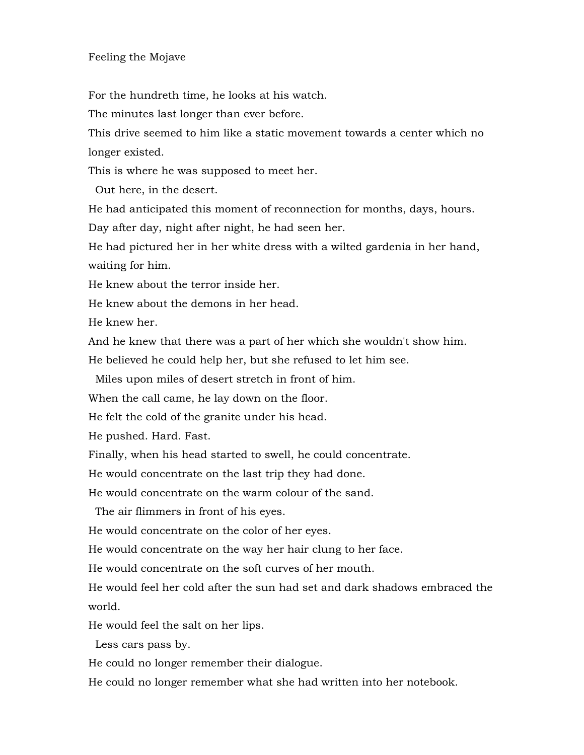## Feeling the Mojave

For the hundreth time, he looks at his watch.

The minutes last longer than ever before.

This drive seemed to him like a static movement towards a center which no longer existed.

This is where he was supposed to meet her.

Out here, in the desert.

He had anticipated this moment of reconnection for months, days, hours.

Day after day, night after night, he had seen her.

He had pictured her in her white dress with a wilted gardenia in her hand, waiting for him.

He knew about the terror inside her.

He knew about the demons in her head.

He knew her.

And he knew that there was a part of her which she wouldn't show him.

He believed he could help her, but she refused to let him see.

Miles upon miles of desert stretch in front of him.

When the call came, he lay down on the floor.

He felt the cold of the granite under his head.

He pushed. Hard. Fast.

Finally, when his head started to swell, he could concentrate.

He would concentrate on the last trip they had done.

He would concentrate on the warm colour of the sand.

The air flimmers in front of his eyes.

He would concentrate on the color of her eyes.

He would concentrate on the way her hair clung to her face.

He would concentrate on the soft curves of her mouth.

He would feel her cold after the sun had set and dark shadows embraced the world.

He would feel the salt on her lips.

Less cars pass by.

He could no longer remember their dialogue.

He could no longer remember what she had written into her notebook.